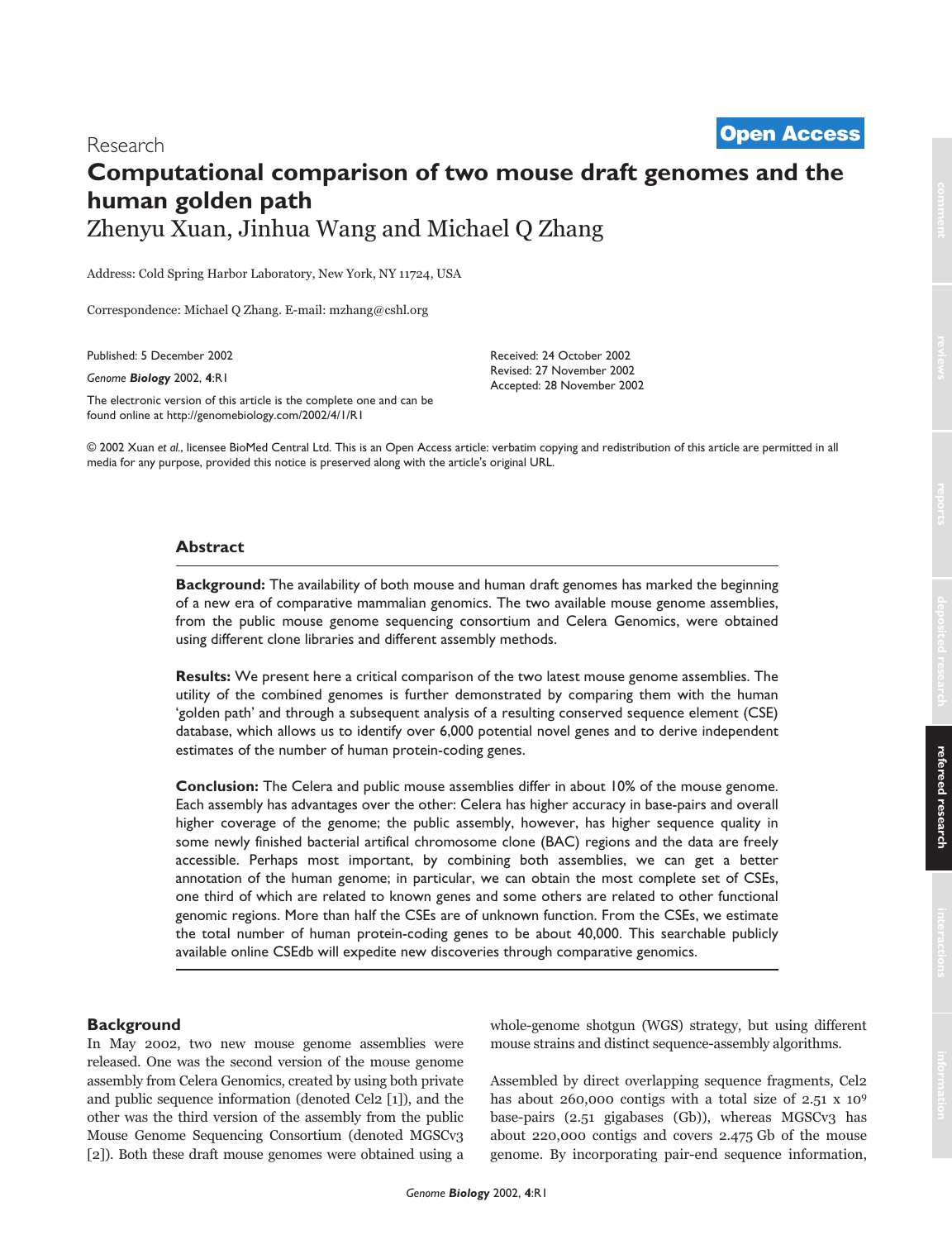# Research **Computational comparison of two mouse draft genomes and the human golden path** Zhenyu Xuan, Jinhua Wang and Michael Q Zhang **[Open Access](http://www.biomedcentral.com/info/about/charter/)**

Address: Cold Spring Harbor Laboratory, New York, NY 11724, USA

Correspondence: Michael Q Zhang. E-mail: mzhang@cshl.org

Published: 5 December 2002

*Genome Biology* 2002, **4**:R1

The electronic version of this article is the complete one and can be found online at http://genomebiology.com/2002/4/1/R1

Received: 24 October 2002 Revised: 27 November 2002 Accepted: 28 November 2002

© 2002 Xuan *et al.*, licensee BioMed Central Ltd. This is an Open Access article: verbatim copying and redistribution of this article are permitted in all media for any purpose, provided this notice is preserved along with the article's original URL.

# **Abstract**

**Background:** The availability of both mouse and human draft genomes has marked the beginning of a new era of comparative mammalian genomics. The two available mouse genome assemblies, from the public mouse genome sequencing consortium and Celera Genomics, were obtained using different clone libraries and different assembly methods.

**Results:** We present here a critical comparison of the two latest mouse genome assemblies. The utility of the combined genomes is further demonstrated by comparing them with the human 'golden path' and through a subsequent analysis of a resulting conserved sequence element (CSE) database, which allows us to identify over 6,000 potential novel genes and to derive independent estimates of the number of human protein-coding genes.

**Conclusion:** The Celera and public mouse assemblies differ in about 10% of the mouse genome. Each assembly has advantages over the other: Celera has higher accuracy in base-pairs and overall higher coverage of the genome; the public assembly, however, has higher sequence quality in some newly finished bacterial artifical chromosome clone (BAC) regions and the data are freely accessible. Perhaps most important, by combining both assemblies, we can get a better annotation of the human genome; in particular, we can obtain the most complete set of CSEs, one third of which are related to known genes and some others are related to other functional genomic regions. More than half the CSEs are of unknown function. From the CSEs, we estimate the total number of human protein-coding genes to be about 40,000. This searchable publicly available online CSEdb will expedite new discoveries through comparative genomics.

## **Background**

In May 2002, two new mouse genome assemblies were released. One was the second version of the mouse genome assembly from Celera Genomics, created by using both private and public sequence information (denoted Cel2 [1]), and the other was the third version of the assembly from the public Mouse Genome Sequencing Consortium (denoted MGSCv3 [2]). Both these draft mouse genomes were obtained using a

whole-genome shotgun (WGS) strategy, but using different mouse strains and distinct sequence-assembly algorithms.

Assembled by direct overlapping sequence fragments, Cel2 has about 260,000 contigs with a total size of 2.51 x 109 base-pairs (2.51 gigabases (Gb)), whereas MGSCv3 has about 220,000 contigs and covers 2.475 Gb of the mouse genome. By incorporating pair-end sequence information,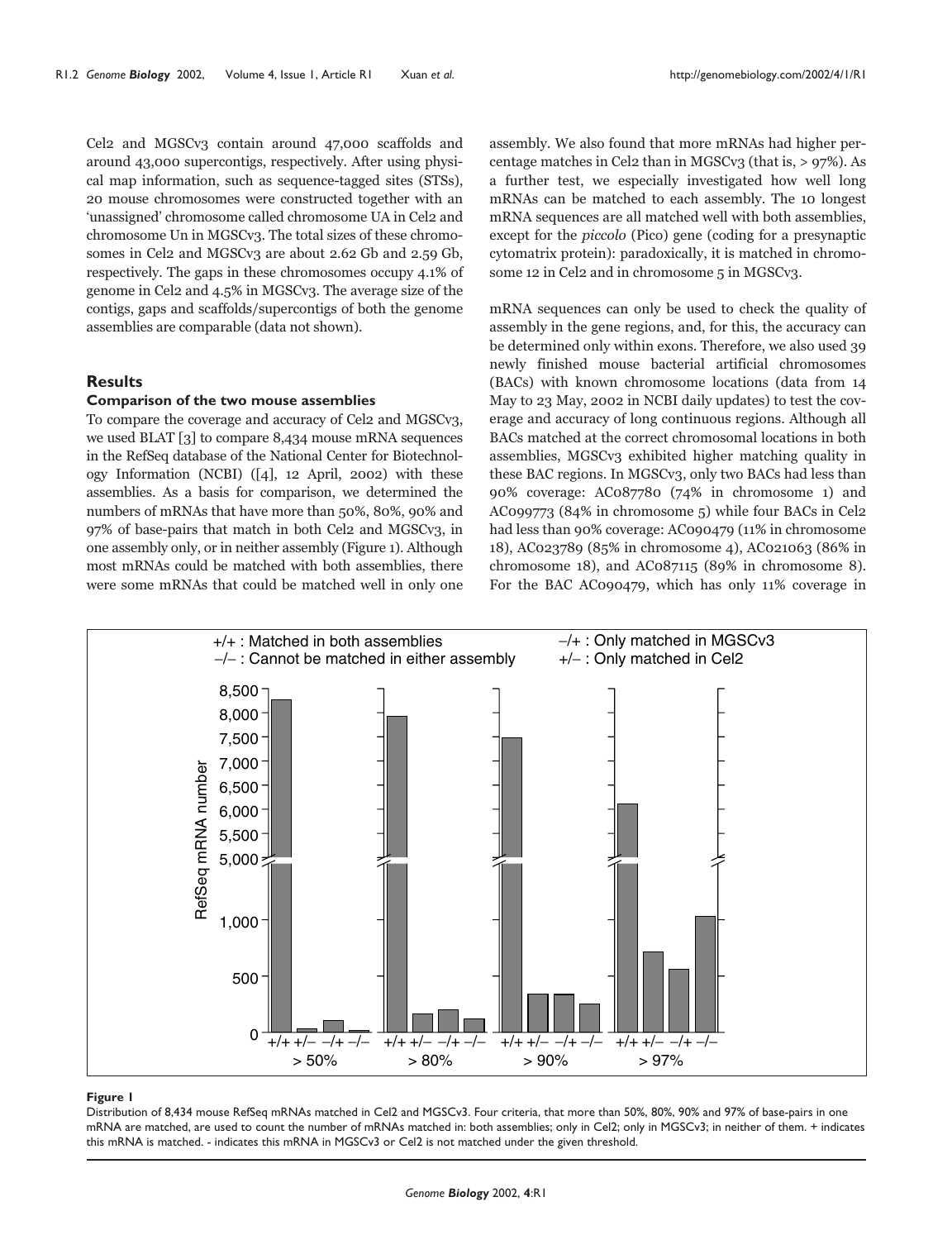Cel2 and MGSCv3 contain around 47,000 scaffolds and around 43,000 supercontigs, respectively. After using physical map information, such as sequence-tagged sites (STSs), 20 mouse chromosomes were constructed together with an 'unassigned' chromosome called chromosome UA in Cel2 and chromosome Un in MGSCv3. The total sizes of these chromosomes in Cel2 and MGSCv3 are about 2.62 Gb and 2.59 Gb, respectively. The gaps in these chromosomes occupy 4.1% of genome in Cel2 and 4.5% in MGSCv3. The average size of the contigs, gaps and scaffolds/supercontigs of both the genome assemblies are comparable (data not shown).

## **Results**

## **Comparison of the two mouse assemblies**

To compare the coverage and accuracy of Cel2 and MGSCv3, we used BLAT [3] to compare 8,434 mouse mRNA sequences in the RefSeq database of the National Center for Biotechnology Information (NCBI) ([4], 12 April, 2002) with these assemblies. As a basis for comparison, we determined the numbers of mRNAs that have more than 50%, 80%, 90% and 97% of base-pairs that match in both Cel2 and MGSCv3, in one assembly only, or in neither assembly (Figure 1). Although most mRNAs could be matched with both assemblies, there were some mRNAs that could be matched well in only one assembly. We also found that more mRNAs had higher percentage matches in Cel2 than in MGSCv3 (that is,  $> 97\%$ ). As a further test, we especially investigated how well long mRNAs can be matched to each assembly. The 10 longest mRNA sequences are all matched well with both assemblies, except for the piccolo (Pico) gene (coding for a presynaptic cytomatrix protein): paradoxically, it is matched in chromosome 12 in Cel2 and in chromosome 5 in MGSCv3.

mRNA sequences can only be used to check the quality of assembly in the gene regions, and, for this, the accuracy can be determined only within exons. Therefore, we also used 39 newly finished mouse bacterial artificial chromosomes (BACs) with known chromosome locations (data from 14 May to 23 May, 2002 in NCBI daily updates) to test the coverage and accuracy of long continuous regions. Although all BACs matched at the correct chromosomal locations in both assemblies, MGSCv3 exhibited higher matching quality in these BAC regions. In MGSCv3, only two BACs had less than 90% coverage: AC087780 (74% in chromosome 1) and AC099773 (84% in chromosome 5) while four BACs in Cel2 had less than 90% coverage: AC090479 (11% in chromosome 18), AC023789 (85% in chromosome 4), AC021063 (86% in chromosome 18), and AC087115 (89% in chromosome 8). For the BAC AC090479, which has only 11% coverage in



#### **Figure 1**

Distribution of 8,434 mouse RefSeq mRNAs matched in Cel2 and MGSCv3. Four criteria, that more than 50%, 80%, 90% and 97% of base-pairs in one mRNA are matched, are used to count the number of mRNAs matched in: both assemblies; only in Cel2; only in MGSCv3; in neither of them. + indicates this mRNA is matched. - indicates this mRNA in MGSCv3 or Cel2 is not matched under the given threshold.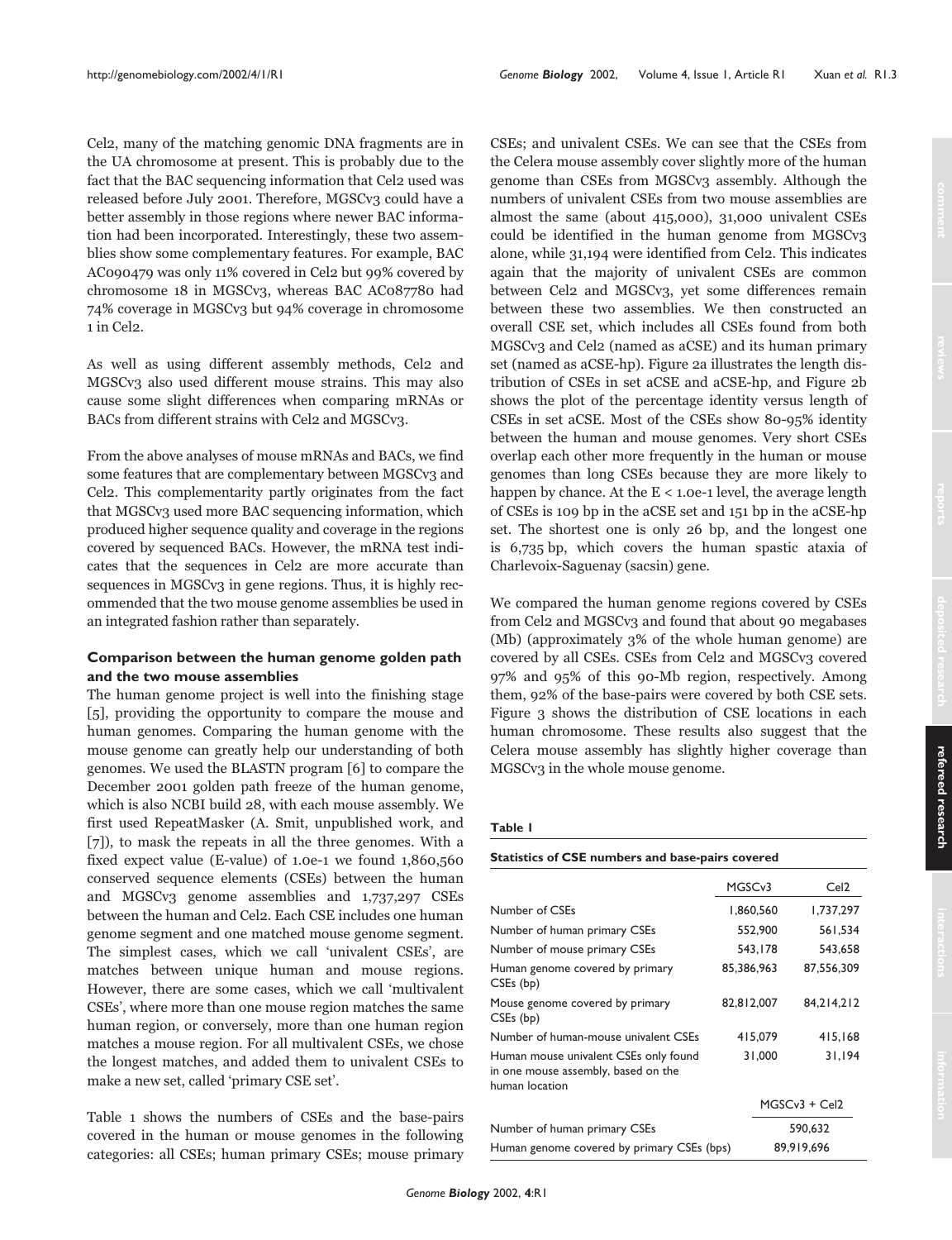Cel2, many of the matching genomic DNA fragments are in the UA chromosome at present. This is probably due to the fact that the BAC sequencing information that Cel2 used was released before July 2001. Therefore, MGSCv3 could have a better assembly in those regions where newer BAC information had been incorporated. Interestingly, these two assemblies show some complementary features. For example, BAC AC090479 was only 11% covered in Cel2 but 99% covered by chromosome 18 in MGSCv3, whereas BAC AC087780 had 74% coverage in MGSCv3 but 94% coverage in chromosome 1 in Cel2.

As well as using different assembly methods, Cel2 and MGSCv3 also used different mouse strains. This may also cause some slight differences when comparing mRNAs or BACs from different strains with Cel2 and MGSCv3.

From the above analyses of mouse mRNAs and BACs, we find some features that are complementary between MGSCv3 and Cel2. This complementarity partly originates from the fact that MGSCv3 used more BAC sequencing information, which produced higher sequence quality and coverage in the regions covered by sequenced BACs. However, the mRNA test indicates that the sequences in Cel2 are more accurate than sequences in MGSCv3 in gene regions. Thus, it is highly recommended that the two mouse genome assemblies be used in an integrated fashion rather than separately.

## **Comparison between the human genome golden path and the two mouse assemblies**

The human genome project is well into the finishing stage [5], providing the opportunity to compare the mouse and human genomes. Comparing the human genome with the mouse genome can greatly help our understanding of both genomes. We used the BLASTN program [6] to compare the December 2001 golden path freeze of the human genome, which is also NCBI build 28, with each mouse assembly. We first used RepeatMasker (A. Smit, unpublished work, and [7]), to mask the repeats in all the three genomes. With a fixed expect value (E-value) of 1.0e-1 we found 1,860,560 conserved sequence elements (CSEs) between the human and MGSCv3 genome assemblies and 1,737,297 CSEs between the human and Cel2. Each CSE includes one human genome segment and one matched mouse genome segment. The simplest cases, which we call 'univalent CSEs', are matches between unique human and mouse regions. However, there are some cases, which we call 'multivalent CSEs', where more than one mouse region matches the same human region, or conversely, more than one human region matches a mouse region. For all multivalent CSEs, we chose the longest matches, and added them to univalent CSEs to make a new set, called 'primary CSE set'.

Table 1 shows the numbers of CSEs and the base-pairs covered in the human or mouse genomes in the following categories: all CSEs; human primary CSEs; mouse primary CSEs; and univalent CSEs. We can see that the CSEs from the Celera mouse assembly cover slightly more of the human genome than CSEs from MGSCv3 assembly. Although the numbers of univalent CSEs from two mouse assemblies are almost the same (about 415,000), 31,000 univalent CSEs could be identified in the human genome from MGSCv3 alone, while 31,194 were identified from Cel2. This indicates again that the majority of univalent CSEs are common between Cel2 and MGSCv3, yet some differences remain between these two assemblies. We then constructed an overall CSE set, which includes all CSEs found from both MGSCv3 and Cel2 (named as aCSE) and its human primary set (named as aCSE-hp). Figure 2a illustrates the length distribution of CSEs in set aCSE and aCSE-hp, and Figure 2b shows the plot of the percentage identity versus length of CSEs in set aCSE. Most of the CSEs show 80-95% identity between the human and mouse genomes. Very short CSEs overlap each other more frequently in the human or mouse genomes than long CSEs because they are more likely to happen by chance. At the  $E < 1.0e-1$  level, the average length of CSEs is 109 bp in the aCSE set and 151 bp in the aCSE-hp set. The shortest one is only 26 bp, and the longest one is 6,735 bp, which covers the human spastic ataxia of Charlevoix-Saguenay (sacsin) gene.

We compared the human genome regions covered by CSEs from Cel2 and MGSCv3 and found that about 90 megabases (Mb) (approximately 3% of the whole human genome) are covered by all CSEs. CSEs from Cel2 and MGSCv3 covered 97% and 95% of this 90-Mb region, respectively. Among them, 92% of the base-pairs were covered by both CSE sets. Figure 3 shows the distribution of CSE locations in each human chromosome. These results also suggest that the Celera mouse assembly has slightly higher coverage than MGSCv3 in the whole mouse genome.

#### **Table 1**

**Statistics of CSE numbers and base-pairs covered**

|                                                                                                | MGSCv3     |            | Cel <sub>2</sub> |  |
|------------------------------------------------------------------------------------------------|------------|------------|------------------|--|
| Number of CSEs                                                                                 | 1,860,560  |            | 1,737,297        |  |
| Number of human primary CSEs                                                                   | 552,900    |            | 561.534          |  |
| Number of mouse primary CSEs                                                                   | 543,178    |            | 543,658          |  |
| Human genome covered by primary<br>CSEs (bp)                                                   | 85,386,963 |            | 87,556,309       |  |
| Mouse genome covered by primary<br>CSEs (bp)                                                   | 82,812,007 |            | 84.214.212       |  |
| Number of human-mouse univalent CSEs                                                           | 415,079    |            | 415,168          |  |
| Human mouse univalent CSEs only found<br>in one mouse assembly, based on the<br>human location |            | 31,000     | 31,194           |  |
|                                                                                                |            |            | $MGSCv3 + Cel2$  |  |
| Number of human primary CSEs                                                                   |            | 590,632    |                  |  |
| Human genome covered by primary CSEs (bps)                                                     |            | 89.919.696 |                  |  |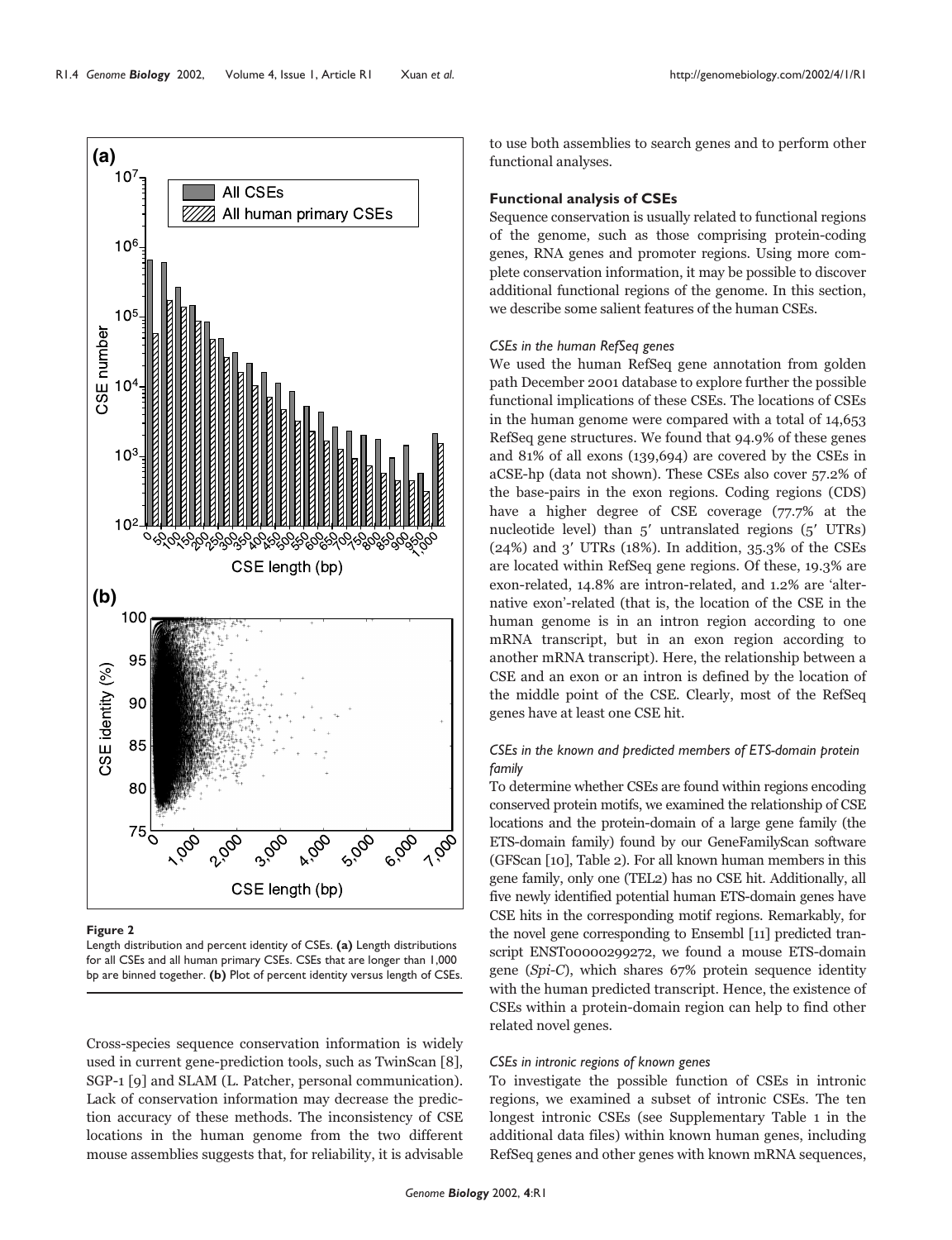

**Figure 2**

Length distribution and percent identity of CSEs. **(a)** Length distributions for all CSEs and all human primary CSEs. CSEs that are longer than 1,000 bp are binned together. **(b)** Plot of percent identity versus length of CSEs.

Cross-species sequence conservation information is widely used in current gene-prediction tools, such as TwinScan [8], SGP-1 [9] and SLAM (L. Patcher, personal communication). Lack of conservation information may decrease the prediction accuracy of these methods. The inconsistency of CSE locations in the human genome from the two different mouse assemblies suggests that, for reliability, it is advisable

to use both assemblies to search genes and to perform other functional analyses.

## **Functional analysis of CSEs**

Sequence conservation is usually related to functional regions of the genome, such as those comprising protein-coding genes, RNA genes and promoter regions. Using more complete conservation information, it may be possible to discover additional functional regions of the genome. In this section, we describe some salient features of the human CSEs.

## *CSEs in the human RefSeq genes*

We used the human RefSeq gene annotation from golden path December 2001 database to explore further the possible functional implications of these CSEs. The locations of CSEs in the human genome were compared with a total of 14,653 RefSeq gene structures. We found that 94.9% of these genes and 81% of all exons (139,694) are covered by the CSEs in aCSE-hp (data not shown). These CSEs also cover 57.2% of the base-pairs in the exon regions. Coding regions (CDS) have a higher degree of CSE coverage (77.7% at the nucleotide level) than  $5'$  untranslated regions  $(5'$  UTRs)  $(24%)$  and 3' UTRs  $(18%)$ . In addition, 35.3% of the CSEs are located within RefSeq gene regions. Of these, 19.3% are exon-related, 14.8% are intron-related, and 1.2% are 'alternative exon'-related (that is, the location of the CSE in the human genome is in an intron region according to one mRNA transcript, but in an exon region according to another mRNA transcript). Here, the relationship between a CSE and an exon or an intron is defined by the location of the middle point of the CSE. Clearly, most of the RefSeq genes have at least one CSE hit.

# *CSEs in the known and predicted members of ETS-domain protein family*

To determine whether CSEs are found within regions encoding conserved protein motifs, we examined the relationship of CSE locations and the protein-domain of a large gene family (the ETS-domain family) found by our GeneFamilyScan software (GFScan [10], Table 2). For all known human members in this gene family, only one (TEL2) has no CSE hit. Additionally, all five newly identified potential human ETS-domain genes have CSE hits in the corresponding motif regions. Remarkably, for the novel gene corresponding to Ensembl [11] predicted transcript ENST00000299272, we found a mouse ETS-domain gene (Spi-C), which shares 67% protein sequence identity with the human predicted transcript. Hence, the existence of CSEs within a protein-domain region can help to find other related novel genes.

## *CSEs in intronic regions of known genes*

To investigate the possible function of CSEs in intronic regions, we examined a subset of intronic CSEs. The ten longest intronic CSEs (see Supplementary Table 1 in the additional data files) within known human genes, including RefSeq genes and other genes with known mRNA sequences,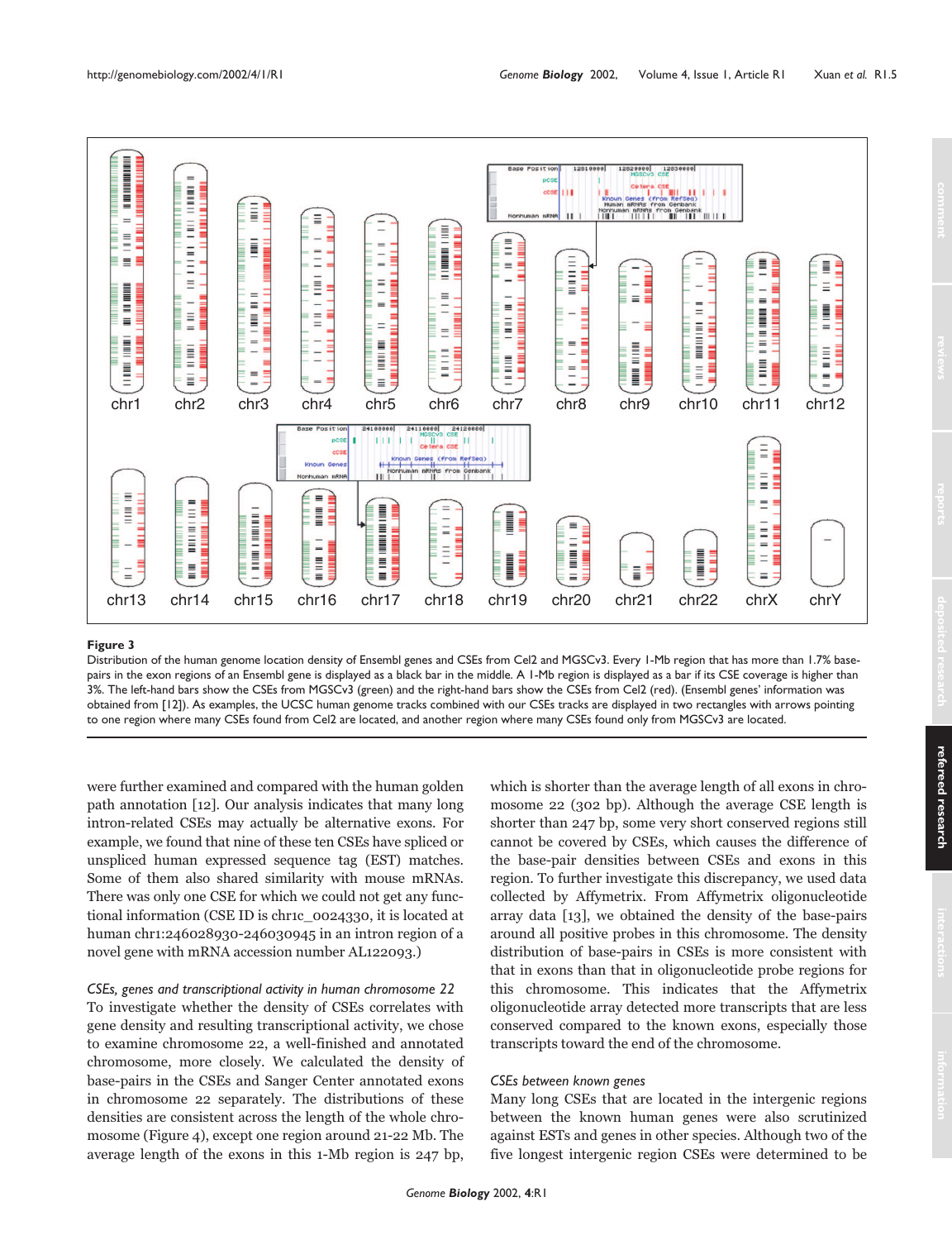

Distribution of the human genome location density of Ensembl genes and CSEs from Cel2 and MGSCv3. Every 1-Mb region that has more than 1.7% basepairs in the exon regions of an Ensembl gene is displayed as a black bar in the middle. A 1-Mb region is displayed as a bar if its CSE coverage is higher than 3%. The left-hand bars show the CSEs from MGSCv3 (green) and the right-hand bars show the CSEs from Cel2 (red). (Ensembl genes' information was obtained from [12]). As examples, the UCSC human genome tracks combined with our CSEs tracks are displayed in two rectangles with arrows pointing to one region where many CSEs found from Cel2 are located, and another region where many CSEs found only from MGSCv3 are located.

were further examined and compared with the human golden path annotation [12]. Our analysis indicates that many long intron-related CSEs may actually be alternative exons. For example, we found that nine of these ten CSEs have spliced or unspliced human expressed sequence tag (EST) matches. Some of them also shared similarity with mouse mRNAs. There was only one CSE for which we could not get any functional information (CSE ID is chr1c\_0024330, it is located at human chr1:246028930-246030945 in an intron region of a novel gene with mRNA accession number AL122093.)

*CSEs, genes and transcriptional activity in human chromosome 22*  To investigate whether the density of CSEs correlates with gene density and resulting transcriptional activity, we chose to examine chromosome 22, a well-finished and annotated chromosome, more closely. We calculated the density of base-pairs in the CSEs and Sanger Center annotated exons in chromosome 22 separately. The distributions of these densities are consistent across the length of the whole chromosome (Figure 4), except one region around 21-22 Mb. The average length of the exons in this 1-Mb region is 247 bp, which is shorter than the average length of all exons in chromosome 22 (302 bp). Although the average CSE length is shorter than 247 bp, some very short conserved regions still cannot be covered by CSEs, which causes the difference of the base-pair densities between CSEs and exons in this region. To further investigate this discrepancy, we used data collected by Affymetrix. From Affymetrix oligonucleotide array data [13], we obtained the density of the base-pairs around all positive probes in this chromosome. The density distribution of base-pairs in CSEs is more consistent with that in exons than that in oligonucleotide probe regions for this chromosome. This indicates that the Affymetrix oligonucleotide array detected more transcripts that are less conserved compared to the known exons, especially those transcripts toward the end of the chromosome.

## *CSEs between known genes*

Many long CSEs that are located in the intergenic regions between the known human genes were also scrutinized against ESTs and genes in other species. Although two of the five longest intergenic region CSEs were determined to be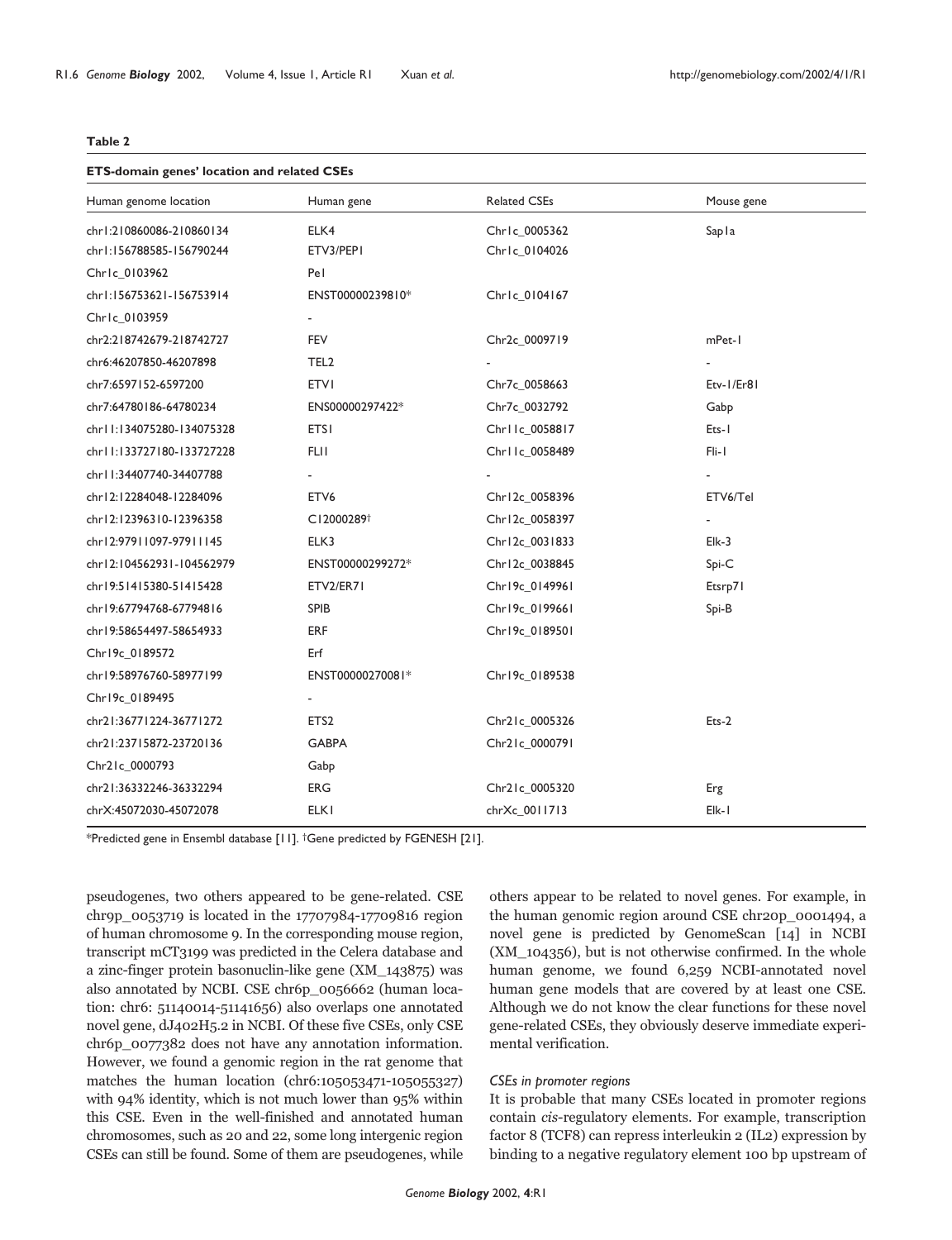#### **Table 2**

#### **ETS-domain genes' location and related CSEs**

| Human genome location     | Human gene             | <b>Related CSEs</b> | Mouse gene |  |  |
|---------------------------|------------------------|---------------------|------------|--|--|
| chr1:210860086-210860134  | ELK4                   | Chrlc_0005362       | Sapla      |  |  |
| chr1:156788585-156790244  | ETV3/PEP1              | Chrlc_0104026       |            |  |  |
| Chrlc_0103962             | Pel                    |                     |            |  |  |
| chr1:156753621-156753914  | ENST00000239810*       | Chrlc_0104167       |            |  |  |
| Chrlc_0103959             |                        |                     |            |  |  |
| chr2:218742679-218742727  | FEV                    | Chr2c 0009719       | mPet-1     |  |  |
| chr6:46207850-46207898    | TEL <sub>2</sub>       |                     |            |  |  |
| chr7:6597152-6597200      | <b>ETVI</b>            | Chr7c_0058663       | Etv-1/Er81 |  |  |
| chr7:64780186-64780234    | ENS00000297422*        | Chr7c_0032792       | Gabp       |  |  |
| chr11:134075280-134075328 | <b>ETSI</b>            | Chr11c_0058817      | Ets-1      |  |  |
| chr11:133727180-133727228 | <b>FLII</b>            | Chr11c_0058489      | Fli-1      |  |  |
| chr11:34407740-34407788   |                        |                     |            |  |  |
| chr12:12284048-12284096   | ETV <sub>6</sub>       | Chr12c_0058396      | ETV6/Tel   |  |  |
| chr12:12396310-12396358   | C12000289 <sup>+</sup> | Chr12c_0058397      |            |  |  |
| chr12:97911097-97911145   | ELK3                   | Chr12c_0031833      | $E$ Ik-3   |  |  |
| chr12:104562931-104562979 | ENST00000299272*       | Chr12c_0038845      | $Spi-C$    |  |  |
| chr19:51415380-51415428   | ETV2/ER71              | Chr19c_0149961      | Etsrp71    |  |  |
| chr19:67794768-67794816   | <b>SPIB</b>            | Chr19c 0199661      | Spi-B      |  |  |
| chr19:58654497-58654933   | <b>ERF</b>             | Chr19c 0189501      |            |  |  |
| Chr19c 0189572            | Erf                    |                     |            |  |  |
| chr19:58976760-58977199   | ENST00000270081*       | Chr19c_0189538      |            |  |  |
| Chr19c_0189495            |                        |                     |            |  |  |
| chr21:36771224-36771272   | ETS <sub>2</sub>       | Chr21c_0005326      | $Ets-2$    |  |  |
| chr21:23715872-23720136   | <b>GABPA</b>           | Chr21c_0000791      |            |  |  |
| Chr21c_0000793            | Gabp                   |                     |            |  |  |
| chr21:36332246-36332294   | ERG                    | Chr21c_0005320      | Erg        |  |  |
| chrX:45072030-45072078    | <b>ELKI</b>            | chrXc_0011713       | Elk-I      |  |  |

\*Predicted gene in Ensembl database [11]. †Gene predicted by FGENESH [21].

pseudogenes, two others appeared to be gene-related. CSE chr9p\_0053719 is located in the 17707984-17709816 region of human chromosome 9. In the corresponding mouse region, transcript mCT3199 was predicted in the Celera database and a zinc-finger protein basonuclin-like gene (XM\_143875) was also annotated by NCBI. CSE chr6p\_0056662 (human location: chr6: 51140014-51141656) also overlaps one annotated novel gene, dJ402H5.2 in NCBI. Of these five CSEs, only CSE chr6p\_0077382 does not have any annotation information. However, we found a genomic region in the rat genome that matches the human location (chr6:105053471-105055327) with 94% identity, which is not much lower than 95% within this CSE. Even in the well-finished and annotated human chromosomes, such as 20 and 22, some long intergenic region CSEs can still be found. Some of them are pseudogenes, while

others appear to be related to novel genes. For example, in the human genomic region around CSE chr20p\_0001494, a novel gene is predicted by GenomeScan [14] in NCBI (XM\_104356), but is not otherwise confirmed. In the whole human genome, we found 6,259 NCBI-annotated novel human gene models that are covered by at least one CSE. Although we do not know the clear functions for these novel gene-related CSEs, they obviously deserve immediate experimental verification.

## *CSEs in promoter regions*

It is probable that many CSEs located in promoter regions contain cis-regulatory elements. For example, transcription factor 8 (TCF8) can repress interleukin 2 (IL2) expression by binding to a negative regulatory element 100 bp upstream of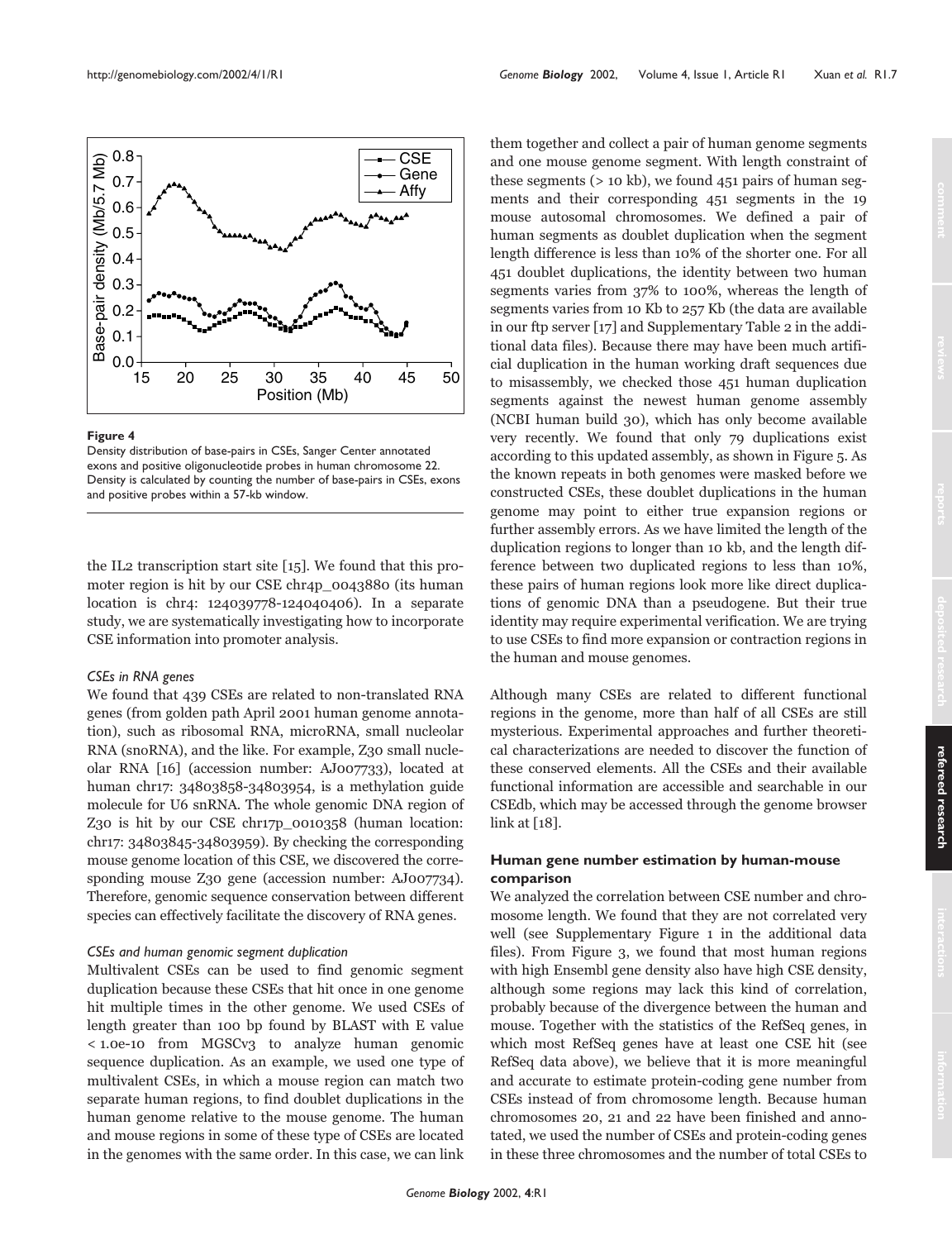

Density distribution of base-pairs in CSEs, Sanger Center annotated exons and positive oligonucleotide probes in human chromosome 22. Density is calculated by counting the number of base-pairs in CSEs, exons and positive probes within a 57-kb window.

the IL2 transcription start site [15]. We found that this promoter region is hit by our CSE chr4p\_0043880 (its human location is chr4: 124039778-124040406). In a separate study, we are systematically investigating how to incorporate CSE information into promoter analysis.

## *CSEs in RNA genes*

We found that 439 CSEs are related to non-translated RNA genes (from golden path April 2001 human genome annotation), such as ribosomal RNA, microRNA, small nucleolar RNA (snoRNA), and the like. For example, Z30 small nucleolar RNA [16] (accession number: AJ007733), located at human chr17: 34803858-34803954, is a methylation guide molecule for U6 snRNA. The whole genomic DNA region of Z30 is hit by our CSE chr17p\_0010358 (human location: chr17: 34803845-34803959). By checking the corresponding mouse genome location of this CSE, we discovered the corresponding mouse Z30 gene (accession number: AJ007734). Therefore, genomic sequence conservation between different species can effectively facilitate the discovery of RNA genes.

## *CSEs and human genomic segment duplication*

Multivalent CSEs can be used to find genomic segment duplication because these CSEs that hit once in one genome hit multiple times in the other genome. We used CSEs of length greater than 100 bp found by BLAST with E value < 1.0e-10 from MGSCv3 to analyze human genomic sequence duplication. As an example, we used one type of multivalent CSEs, in which a mouse region can match two separate human regions, to find doublet duplications in the human genome relative to the mouse genome. The human and mouse regions in some of these type of CSEs are located in the genomes with the same order. In this case, we can link them together and collect a pair of human genome segments and one mouse genome segment. With length constraint of these segments  $(> 10 \text{ kb})$ , we found 451 pairs of human segments and their corresponding 451 segments in the 19 mouse autosomal chromosomes. We defined a pair of human segments as doublet duplication when the segment length difference is less than 10% of the shorter one. For all 451 doublet duplications, the identity between two human segments varies from 37% to 100%, whereas the length of segments varies from 10 Kb to 257 Kb (the data are available in our ftp server [17] and Supplementary Table 2 in the additional data files). Because there may have been much artificial duplication in the human working draft sequences due to misassembly, we checked those 451 human duplication segments against the newest human genome assembly (NCBI human build 30), which has only become available very recently. We found that only 79 duplications exist according to this updated assembly, as shown in Figure 5. As the known repeats in both genomes were masked before we constructed CSEs, these doublet duplications in the human genome may point to either true expansion regions or further assembly errors. As we have limited the length of the duplication regions to longer than 10 kb, and the length difference between two duplicated regions to less than 10%, these pairs of human regions look more like direct duplications of genomic DNA than a pseudogene. But their true identity may require experimental verification. We are trying to use CSEs to find more expansion or contraction regions in the human and mouse genomes.

Although many CSEs are related to different functional regions in the genome, more than half of all CSEs are still mysterious. Experimental approaches and further theoretical characterizations are needed to discover the function of these conserved elements. All the CSEs and their available functional information are accessible and searchable in our CSEdb, which may be accessed through the genome browser link at [18].

## **Human gene number estimation by human-mouse comparison**

We analyzed the correlation between CSE number and chromosome length. We found that they are not correlated very well (see Supplementary Figure 1 in the additional data files). From Figure 3, we found that most human regions with high Ensembl gene density also have high CSE density, although some regions may lack this kind of correlation, probably because of the divergence between the human and mouse. Together with the statistics of the RefSeq genes, in which most RefSeq genes have at least one CSE hit (see RefSeq data above), we believe that it is more meaningful and accurate to estimate protein-coding gene number from CSEs instead of from chromosome length. Because human chromosomes 20, 21 and 22 have been finished and annotated, we used the number of CSEs and protein-coding genes in these three chromosomes and the number of total CSEs to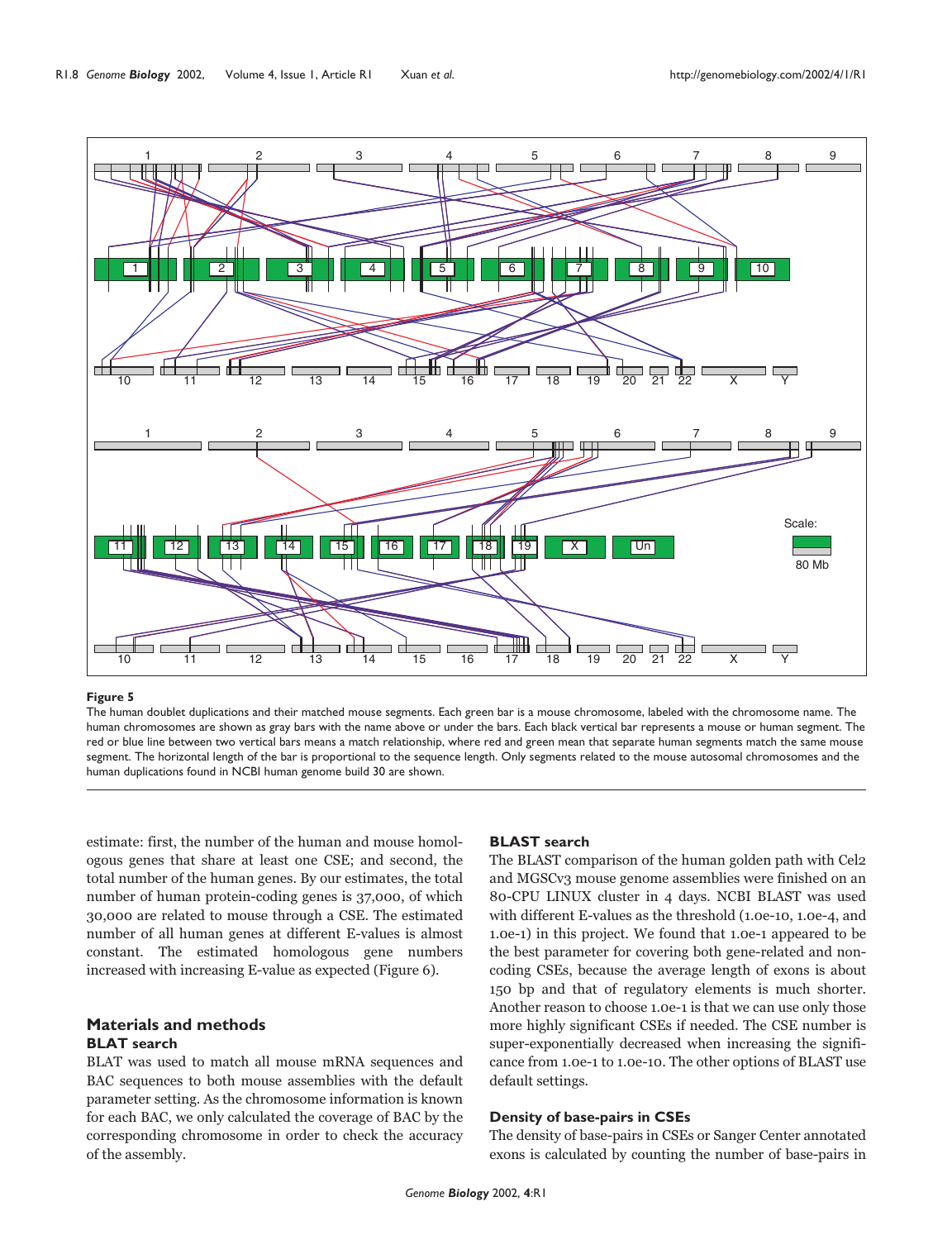

The human doublet duplications and their matched mouse segments. Each green bar is a mouse chromosome, labeled with the chromosome name. The human chromosomes are shown as gray bars with the name above or under the bars. Each black vertical bar represents a mouse or human segment. The red or blue line between two vertical bars means a match relationship, where red and green mean that separate human segments match the same mouse segment. The horizontal length of the bar is proportional to the sequence length. Only segments related to the mouse autosomal chromosomes and the human duplications found in NCBI human genome build 30 are shown.

estimate: first, the number of the human and mouse homologous genes that share at least one CSE; and second, the total number of the human genes. By our estimates, the total number of human protein-coding genes is 37,000, of which 30,000 are related to mouse through a CSE. The estimated number of all human genes at different E-values is almost constant. The estimated homologous gene numbers increased with increasing E-value as expected (Figure 6).

# **Materials and methods BLAT search**

BLAT was used to match all mouse mRNA sequences and BAC sequences to both mouse assemblies with the default parameter setting. As the chromosome information is known for each BAC, we only calculated the coverage of BAC by the corresponding chromosome in order to check the accuracy of the assembly.

## **BLAST search**

The BLAST comparison of the human golden path with Cel2 and MGSCv3 mouse genome assemblies were finished on an 80-CPU LINUX cluster in 4 days. NCBI BLAST was used with different E-values as the threshold (1.0e-10, 1.0e-4, and 1.0e-1) in this project. We found that 1.0e-1 appeared to be the best parameter for covering both gene-related and noncoding CSEs, because the average length of exons is about 150 bp and that of regulatory elements is much shorter. Another reason to choose 1.0e-1 is that we can use only those more highly significant CSEs if needed. The CSE number is super-exponentially decreased when increasing the significance from 1.0e-1 to 1.0e-10. The other options of BLAST use default settings.

# **Density of base-pairs in CSEs**

The density of base-pairs in CSEs or Sanger Center annotated exons is calculated by counting the number of base-pairs in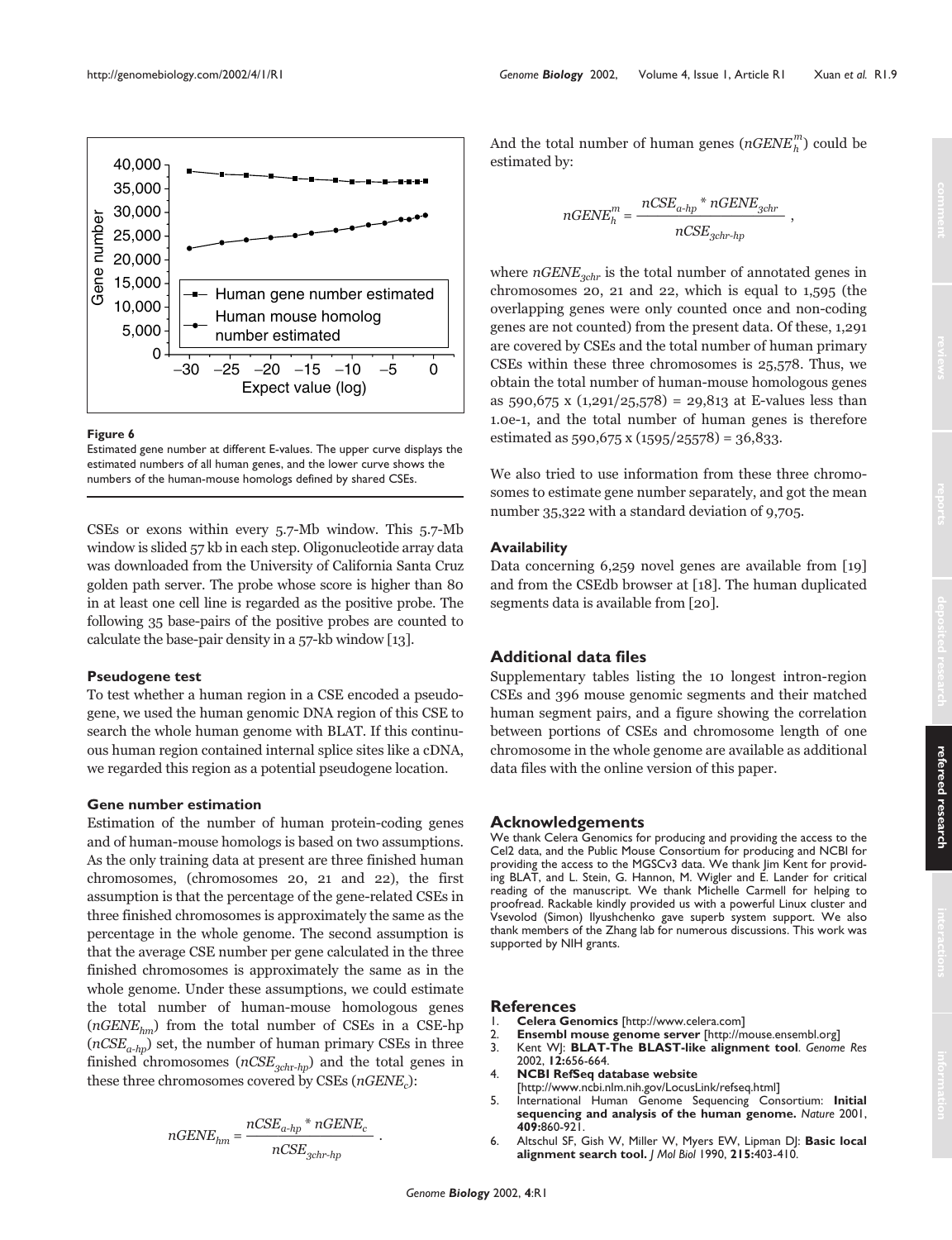

Estimated gene number at different E-values. The upper curve displays the estimated numbers of all human genes, and the lower curve shows the numbers of the human-mouse homologs defined by shared CSEs.

CSEs or exons within every 5.7-Mb window. This 5.7-Mb window is slided 57 kb in each step. Oligonucleotide array data was downloaded from the University of California Santa Cruz golden path server. The probe whose score is higher than 80 in at least one cell line is regarded as the positive probe. The following 35 base-pairs of the positive probes are counted to calculate the base-pair density in a 57-kb window [13].

## **Pseudogene test**

To test whether a human region in a CSE encoded a pseudogene, we used the human genomic DNA region of this CSE to search the whole human genome with BLAT. If this continuous human region contained internal splice sites like a cDNA, we regarded this region as a potential pseudogene location.

## **Gene number estimation**

Estimation of the number of human protein-coding genes and of human-mouse homologs is based on two assumptions. As the only training data at present are three finished human chromosomes, (chromosomes 20, 21 and 22), the first assumption is that the percentage of the gene-related CSEs in three finished chromosomes is approximately the same as the percentage in the whole genome. The second assumption is that the average CSE number per gene calculated in the three finished chromosomes is approximately the same as in the whole genome. Under these assumptions, we could estimate the total number of human-mouse homologous genes  $(nGENE_{hm})$  from the total number of CSEs in a CSE-hp  $(nCSE_{a-hn})$  set, the number of human primary CSEs in three finished chromosomes ( $nCSE_{3chr-hp}$ ) and the total genes in these three chromosomes covered by CSEs ( $nGENE<sub>c</sub>$ ):

$$
nGENE_{hm} = \frac{nCSE_{a\text{-}hp} \text{ * } nGENE_c}{nCSE_{gchr\text{-}hp}}\ .
$$

And the total number of human genes  $(nGENE_h^m)$  could be estimated by:

$$
nGENE_h^m = \frac{nCSE_{a\text{-}hp} * nGENE_{gchr}}{nCSE_{gchr\text{-}hp}},
$$

where  $nGENE_{schr}$  is the total number of annotated genes in chromosomes 20, 21 and 22, which is equal to 1,595 (the overlapping genes were only counted once and non-coding genes are not counted) from the present data. Of these, 1,291 are covered by CSEs and the total number of human primary CSEs within these three chromosomes is 25,578. Thus, we obtain the total number of human-mouse homologous genes as  $590,675$  x  $(1,291/25,578) = 29,813$  at E-values less than 1.0e-1, and the total number of human genes is therefore estimated as 590,675 x (1595/25578) = 36,833.

We also tried to use information from these three chromosomes to estimate gene number separately, and got the mean number 35,322 with a standard deviation of 9,705.

## **Availability**

Data concerning 6,259 novel genes are available from [19] and from the CSEdb browser at [18]. The human duplicated segments data is available from [20].

## **Additional data files**

Supplementary tables listing the 10 longest intron-region CSEs and 396 mouse genomic segments and their matched human segment pairs, and a figure showing the correlation between portions of CSEs and chromosome length of one chromosome in the whole genome are available as additional data files with the online version of this paper.

#### **Acknowledgements**

We thank Celera Genomics for producing and providing the access to the Cel2 data, and the Public Mouse Consortium for producing and NCBI for providing the access to the MGSCv3 data. We thank Jim Kent for providing BLAT, and L. Stein, G. Hannon, M. Wigler and E. Lander for critical reading of the manuscript. We thank Michelle Carmell for helping to proofread. Rackable kindly provided us with a powerful Linux cluster and Vsevolod (Simon) Ilyushchenko gave superb system support. We also thank members of the Zhang lab for numerous discussions. This work was supported by NIH grants.

#### **References**

- 1. **Celera Genomics** [http://www.celera.com]
- 2. **Ensembl mouse genome server** [http://mouse.ensembl.org]
- 3. Kent WJ: **BLAT-The BLAST-like alignment tool**. *Genome Res* 2002, **12:**656-664.
- 4. **NCBI RefSeq database website** [http://www.ncbi.nlm.nih.gov/LocusLink/refseq.html]
- 5. International Human Genome Sequencing Consortium: **Initial sequencing and analysis of the human genome.** *Nature* 2001, **409:**860-921.
- 6. Altschul SF, Gish W, Miller W, Myers EW, Lipman DJ: **Basic local alignment search tool.** *J Mol Biol* 1990, **215:**403-410.